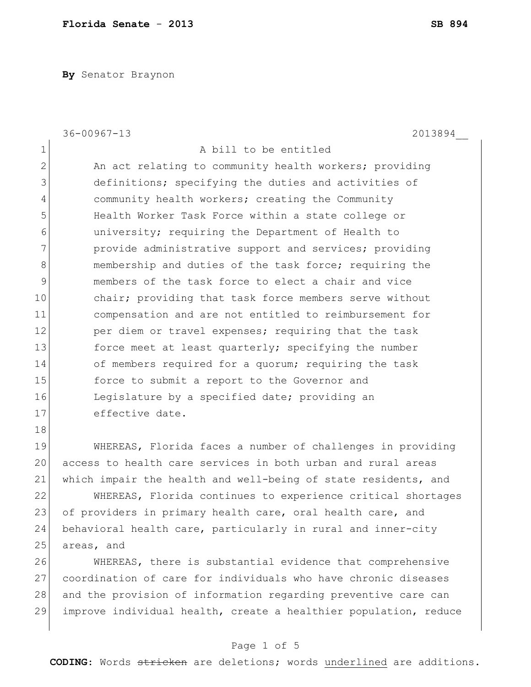**By** Senator Braynon

|    | $36 - 00967 - 13$<br>2013894                                   |
|----|----------------------------------------------------------------|
| 1  | A bill to be entitled                                          |
| 2  | An act relating to community health workers; providing         |
| 3  | definitions; specifying the duties and activities of           |
| 4  | community health workers; creating the Community               |
| 5  | Health Worker Task Force within a state college or             |
| 6  | university; requiring the Department of Health to              |
| 7  | provide administrative support and services; providing         |
| 8  | membership and duties of the task force; requiring the         |
| 9  | members of the task force to elect a chair and vice            |
| 10 | chair; providing that task force members serve without         |
| 11 | compensation and are not entitled to reimbursement for         |
| 12 | per diem or travel expenses; requiring that the task           |
| 13 | force meet at least quarterly; specifying the number           |
| 14 | of members required for a quorum; requiring the task           |
| 15 | force to submit a report to the Governor and                   |
| 16 | Legislature by a specified date; providing an                  |
| 17 | effective date.                                                |
| 18 |                                                                |
| 19 | WHEREAS, Florida faces a number of challenges in providing     |
| 20 | access to health care services in both urban and rural areas   |
| 21 | which impair the health and well-being of state residents, and |

22 WHEREAS, Florida continues to experience critical shortages 23 of providers in primary health care, oral health care, and 24 behavioral health care, particularly in rural and inner-city 25 areas, and

26 WHEREAS, there is substantial evidence that comprehensive 27 coordination of care for individuals who have chronic diseases 28 and the provision of information regarding preventive care can 29 improve individual health, create a healthier population, reduce

### Page 1 of 5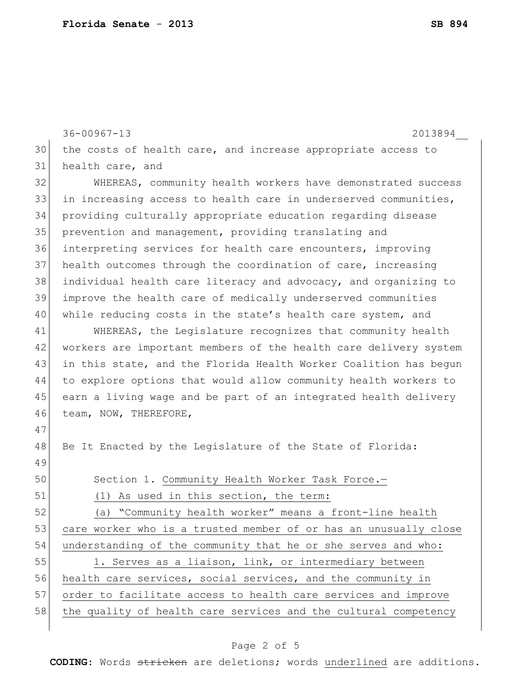36-00967-13 2013894\_\_ 30 the costs of health care, and increase appropriate access to 31 health care, and 32 WHEREAS, community health workers have demonstrated success 33 in increasing access to health care in underserved communities, 34 providing culturally appropriate education regarding disease 35 prevention and management, providing translating and 36 interpreting services for health care encounters, improving 37 health outcomes through the coordination of care, increasing 38 individual health care literacy and advocacy, and organizing to 39 improve the health care of medically underserved communities 40 while reducing costs in the state's health care system, and 41 WHEREAS, the Legislature recognizes that community health 42 workers are important members of the health care delivery system 43 in this state, and the Florida Health Worker Coalition has begun 44 to explore options that would allow community health workers to 45 earn a living wage and be part of an integrated health delivery 46 team, NOW, THEREFORE, 47 48 Be It Enacted by the Legislature of the State of Florida: 49 50 Section 1. Community Health Worker Task Force.-51 (1) As used in this section, the term: 52 (a) "Community health worker" means a front-line health 53 care worker who is a trusted member of or has an unusually close 54 understanding of the community that he or she serves and who: 55 1. Serves as a liaison, link, or intermediary between 56 health care services, social services, and the community in 57 order to facilitate access to health care services and improve 58 the quality of health care services and the cultural competency

### Page 2 of 5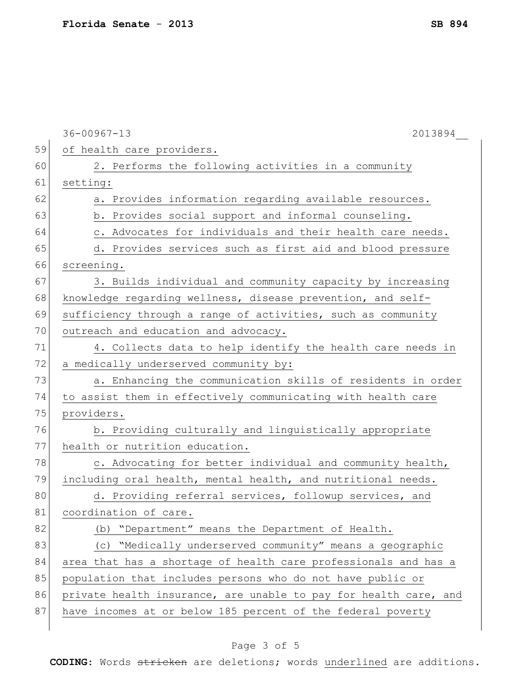|    | $36 - 00967 - 13$<br>2013894                                     |
|----|------------------------------------------------------------------|
| 59 | of health care providers.                                        |
| 60 | 2. Performs the following activities in a community              |
| 61 | setting:                                                         |
| 62 | a. Provides information regarding available resources.           |
| 63 | b. Provides social support and informal counseling.              |
| 64 | c. Advocates for individuals and their health care needs.        |
| 65 | d. Provides services such as first aid and blood pressure        |
| 66 | screening.                                                       |
| 67 | 3. Builds individual and community capacity by increasing        |
| 68 | knowledge regarding wellness, disease prevention, and self-      |
| 69 | sufficiency through a range of activities, such as community     |
| 70 | outreach and education and advocacy.                             |
| 71 | 4. Collects data to help identify the health care needs in       |
| 72 | a medically underserved community by:                            |
| 73 | a. Enhancing the communication skills of residents in order      |
| 74 | to assist them in effectively communicating with health care     |
| 75 | providers.                                                       |
| 76 | b. Providing culturally and linguistically appropriate           |
| 77 | health or nutrition education.                                   |
| 78 | c. Advocating for better individual and community health,        |
| 79 | including oral health, mental health, and nutritional needs.     |
| 80 | d. Providing referral services, followup services, and           |
| 81 | coordination of care.                                            |
| 82 | (b) "Department" means the Department of Health.                 |
| 83 | (c) "Medically underserved community" means a geographic         |
| 84 | area that has a shortage of health care professionals and has a  |
| 85 | population that includes persons who do not have public or       |
| 86 | private health insurance, are unable to pay for health care, and |
| 87 | have incomes at or below 185 percent of the federal poverty      |
|    |                                                                  |

# Page 3 of 5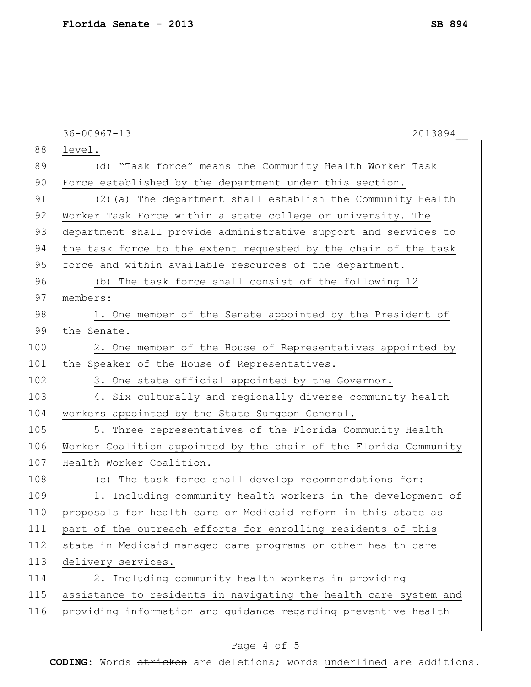|     | $36 - 00967 - 13$<br>2013894                                     |
|-----|------------------------------------------------------------------|
| 88  | level.                                                           |
| 89  | (d) "Task force" means the Community Health Worker Task          |
| 90  | Force established by the department under this section.          |
| 91  | (2) (a) The department shall establish the Community Health      |
| 92  | Worker Task Force within a state college or university. The      |
| 93  | department shall provide administrative support and services to  |
| 94  | the task force to the extent requested by the chair of the task  |
| 95  | force and within available resources of the department.          |
| 96  | (b) The task force shall consist of the following 12             |
| 97  | members:                                                         |
| 98  | 1. One member of the Senate appointed by the President of        |
| 99  | the Senate.                                                      |
| 100 | 2. One member of the House of Representatives appointed by       |
| 101 | the Speaker of the House of Representatives.                     |
| 102 | 3. One state official appointed by the Governor.                 |
| 103 | 4. Six culturally and regionally diverse community health        |
| 104 | workers appointed by the State Surgeon General.                  |
| 105 | 5. Three representatives of the Florida Community Health         |
| 106 | Worker Coalition appointed by the chair of the Florida Community |
| 107 | Health Worker Coalition.                                         |
| 108 | (c) The task force shall develop recommendations for:            |
| 109 | 1. Including community health workers in the development of      |
| 110 | proposals for health care or Medicaid reform in this state as    |
| 111 | part of the outreach efforts for enrolling residents of this     |
| 112 | state in Medicaid managed care programs or other health care     |
| 113 | delivery services.                                               |
| 114 | 2. Including community health workers in providing               |
| 115 | assistance to residents in navigating the health care system and |
| 116 | providing information and guidance regarding preventive health   |
|     |                                                                  |

# Page 4 of 5